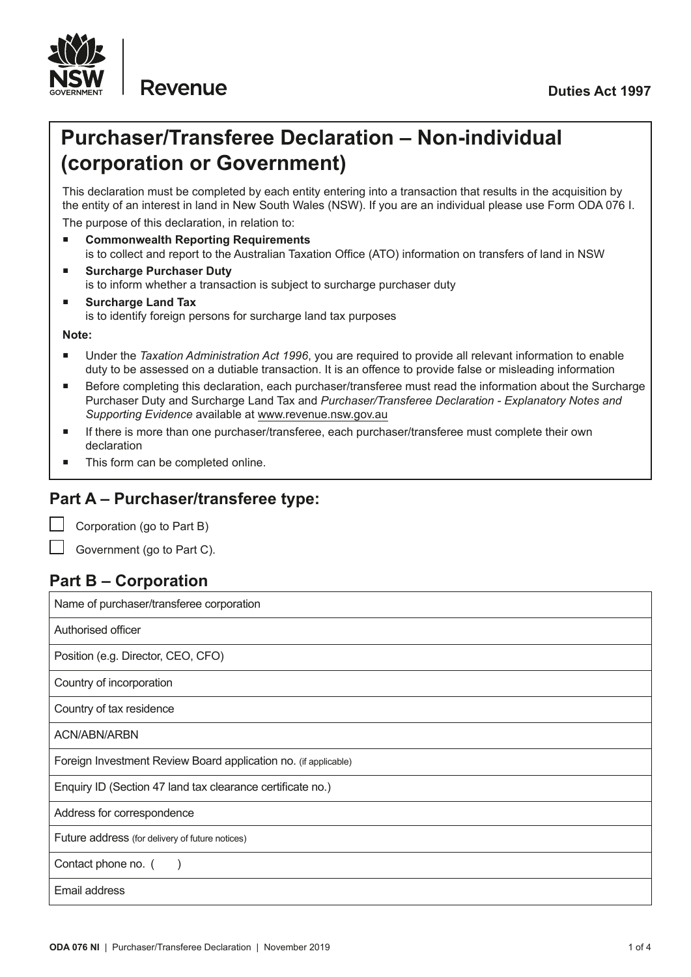

# **Purchaser/Transferee Declaration – Non-individual (corporation or Government)**

This declaration must be completed by each entity entering into a transaction that results in the acquisition by the entity of an interest in land in New South Wales (NSW). If you are an individual please use Form ODA 076 I. The purpose of this declaration, in relation to:

- **Commonwealth Reporting Requirements** is to collect and report to the Australian Taxation Office (ATO) information on transfers of land in NSW
- **Surcharge Purchaser Duty** is to inform whether a transaction is subject to surcharge purchaser duty
- **Surcharge Land Tax** is to identify foreign persons for surcharge land tax purposes

**Note:**

- Under the *Taxation Administration Act 1996*, you are required to provide all relevant information to enable duty to be assessed on a dutiable transaction. It is an offence to provide false or misleading information
- Before completing this declaration, each purchaser/transferee must read the information about the Surcharge Purchaser Duty and Surcharge Land Tax and *Purchaser/Transferee Declaration - Explanatory Notes and Supporting Evidence* available at www.revenue.nsw.gov.au
- If there is more than one purchaser/transferee, each purchaser/transferee must complete their own declaration
- This form can be completed online.

# **Part A – Purchaser/transferee type:**

Corporation (go to Part B)

Government (go to Part C).

# **Part B – Corporation**

Name of purchaser/transferee corporation Authorised officer Position (e.g. Director, CEO, CFO) Country of incorporation Country of tax residence ACN/ABN/ARBN Foreign Investment Review Board application no. (if applicable) Enquiry ID (Section 47 land tax clearance certificate no.) Address for correspondence Future address (for delivery of future notices) Contact phone no. () Email address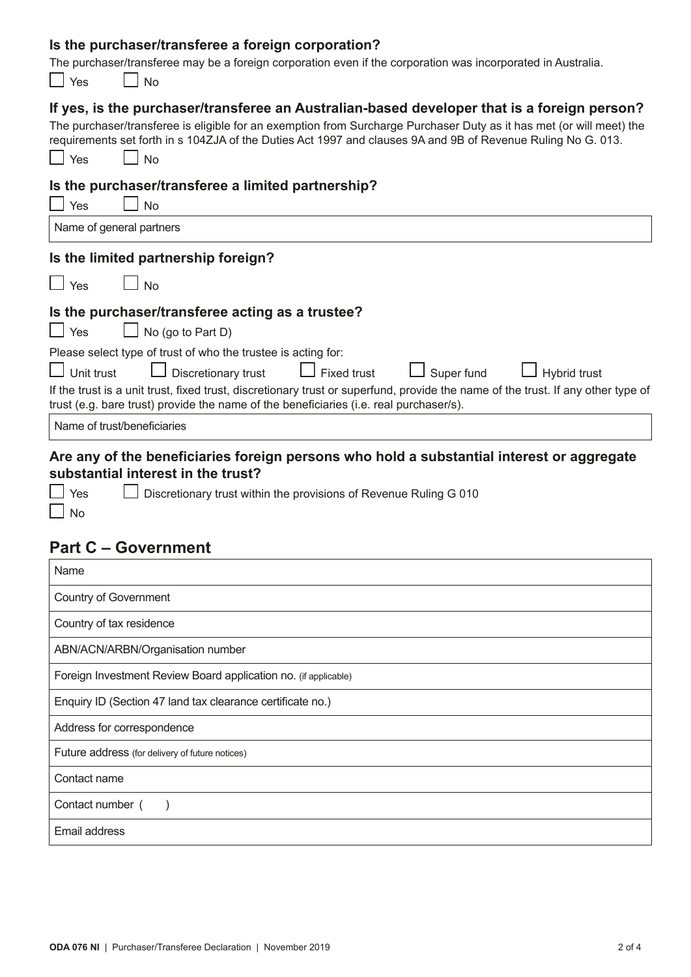### **Is the purchaser/transferee a foreign corporation?**

The purchaser/transferee may be a foreign corporation even if the corporation was incorporated in Australia.

| <u>Room anologico may bo a foreign corporation even in the corporation was incorporated in Adolfand</u><br>Yes<br><b>No</b>                                                                                                                                                                                                                             |
|---------------------------------------------------------------------------------------------------------------------------------------------------------------------------------------------------------------------------------------------------------------------------------------------------------------------------------------------------------|
| If yes, is the purchaser/transferee an Australian-based developer that is a foreign person?<br>The purchaser/transferee is eligible for an exemption from Surcharge Purchaser Duty as it has met (or will meet) the<br>requirements set forth in s 104ZJA of the Duties Act 1997 and clauses 9A and 9B of Revenue Ruling No G. 013.<br>Yes<br><b>No</b> |
| Is the purchaser/transferee a limited partnership?                                                                                                                                                                                                                                                                                                      |
| Yes<br><b>No</b>                                                                                                                                                                                                                                                                                                                                        |
| Name of general partners                                                                                                                                                                                                                                                                                                                                |
| Is the limited partnership foreign?                                                                                                                                                                                                                                                                                                                     |
| $\Box$ Yes<br>」No                                                                                                                                                                                                                                                                                                                                       |
| Is the purchaser/transferee acting as a trustee?                                                                                                                                                                                                                                                                                                        |
| $\Box$ No (go to Part D)<br>$\Box$ Yes                                                                                                                                                                                                                                                                                                                  |
| Please select type of trust of who the trustee is acting for:                                                                                                                                                                                                                                                                                           |
| Discretionary trust<br>Unit trust<br>Super fund<br>Fixed trust<br>Hybrid trust                                                                                                                                                                                                                                                                          |
| If the trust is a unit trust, fixed trust, discretionary trust or superfund, provide the name of the trust. If any other type of<br>trust (e.g. bare trust) provide the name of the beneficiaries (i.e. real purchaser/s).                                                                                                                              |
| Name of trust/beneficiaries                                                                                                                                                                                                                                                                                                                             |
| Are any of the beneficiaries foreign persons who hold a substantial interest or aggregate<br>substantial interest in the trust?                                                                                                                                                                                                                         |

 $\overline{\square}$  No

Thes Discretionary trust within the provisions of Revenue Ruling G 010

# **Part C – Government**

| Name                                                            |
|-----------------------------------------------------------------|
| Country of Government                                           |
| Country of tax residence                                        |
| ABN/ACN/ARBN/Organisation number                                |
| Foreign Investment Review Board application no. (if applicable) |
| Enquiry ID (Section 47 land tax clearance certificate no.)      |
| Address for correspondence                                      |
| Future address (for delivery of future notices)                 |
| Contact name                                                    |
| Contact number (                                                |
| Email address                                                   |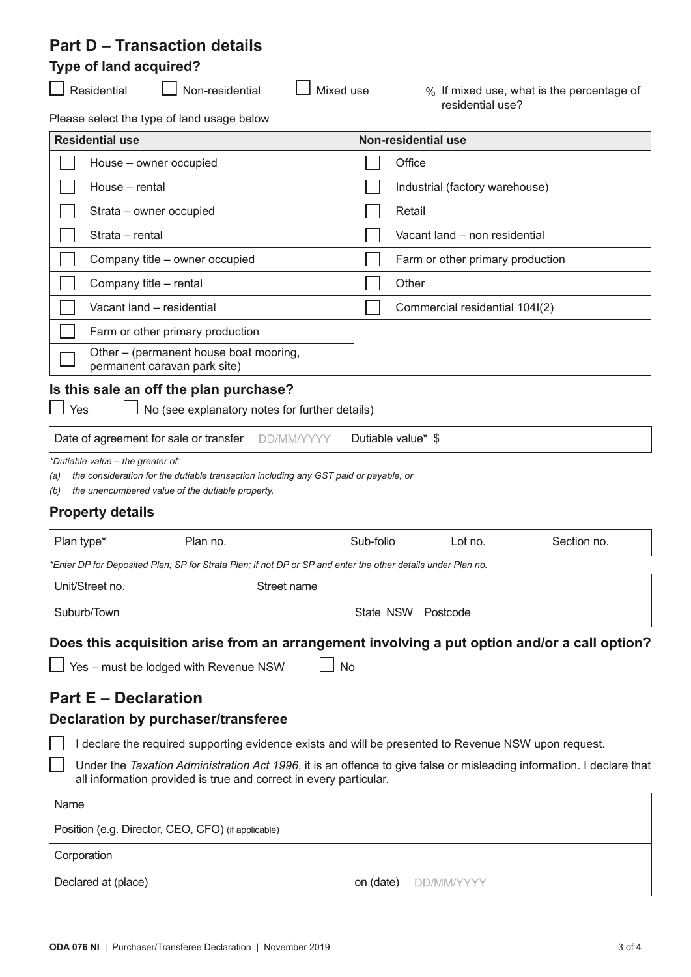# **Part D – Transaction details**

### **Type of land acquired?**

■Residential ■ Non-residential ■ Mixed use % If mixed use, what is the percentage of residential use?

Please select the type of land usage below

|                                        | <b>Residential use</b>                                                 |  | Non-residential use              |  |  |
|----------------------------------------|------------------------------------------------------------------------|--|----------------------------------|--|--|
|                                        | House - owner occupied                                                 |  | Office                           |  |  |
|                                        | House – rental                                                         |  | Industrial (factory warehouse)   |  |  |
|                                        | Strata – owner occupied                                                |  | Retail                           |  |  |
|                                        | Strata – rental                                                        |  | Vacant land - non residential    |  |  |
|                                        | Company title – owner occupied                                         |  | Farm or other primary production |  |  |
|                                        | Company title - rental                                                 |  | Other                            |  |  |
|                                        | Vacant land – residential                                              |  | Commercial residential 104I(2)   |  |  |
|                                        | Farm or other primary production                                       |  |                                  |  |  |
|                                        | Other – (permanent house boat mooring,<br>permanent caravan park site) |  |                                  |  |  |
| Is this sale an off the plan purchase? |                                                                        |  |                                  |  |  |

 $\Box$  Yes  $\Box$  No (see explanatory notes for further details)

Date of agreement for sale or transfer DD/MM/YYYY Dutiable value\* \$

*\*Dutiable value – the greater of:*

*(a) the consideration for the dutiable transaction including any GST paid or payable, or*

*(b) the unencumbered value of the dutiable property.*

#### **Property details**

| Plan type*                                                                                                   | Plan no.    | Sub-folio          | Lot no. | Section no. |  |  |
|--------------------------------------------------------------------------------------------------------------|-------------|--------------------|---------|-------------|--|--|
| *Enter DP for Deposited Plan; SP for Strata Plan; if not DP or SP and enter the other details under Plan no. |             |                    |         |             |  |  |
| Unit/Street no.                                                                                              | Street name |                    |         |             |  |  |
| Suburb/Town                                                                                                  |             | State NSW Postcode |         |             |  |  |

**Does this acquisition arise from an arrangement involving a put option and/or a call option?**

 $\Box$  Yes – must be lodged with Revenue NSW  $\Box$  No

# **Part E – Declaration**

#### **Declaration by purchaser/transferee**

I declare the required supporting evidence exists and will be presented to Revenue NSW upon request.

Under the *Taxation Administration Act 1996*, it is an offence to give false or misleading information. I declare that all information provided is true and correct in every particular.

| Name                                               |                             |
|----------------------------------------------------|-----------------------------|
| Position (e.g. Director, CEO, CFO) (if applicable) |                             |
| Corporation                                        |                             |
| Declared at (place)                                | <b>on (date) DD/MM/YYYY</b> |